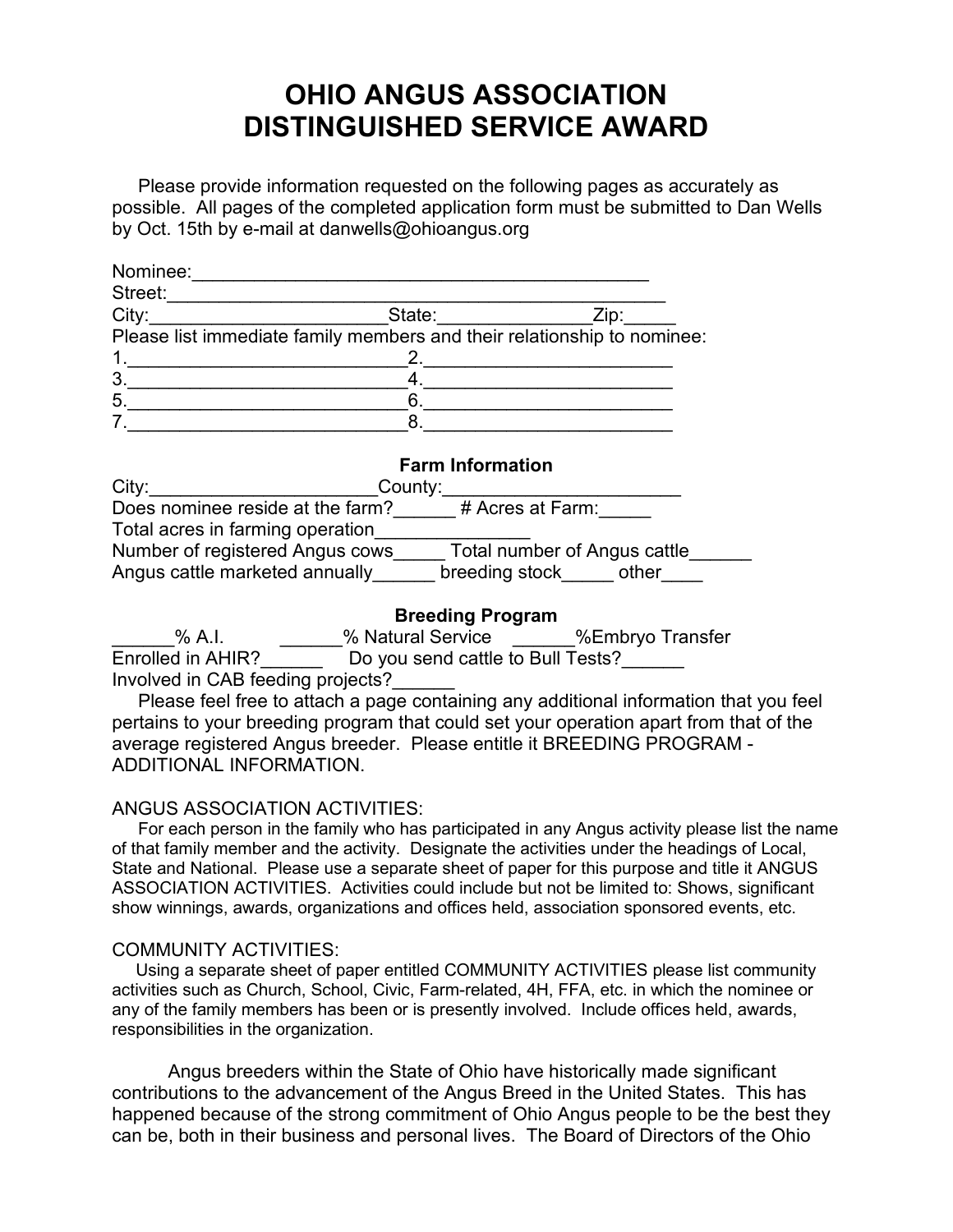# **OHIO ANGUS ASSOCIATION DISTINGUISHED SERVICE AWARD**

 Please provide information requested on the following pages as accurately as possible. All pages of the completed application form must be submitted to Dan Wells by Oct. 15th by e-mail at danwells@ohioangus.org

| Nominee: |                                                                         |      |
|----------|-------------------------------------------------------------------------|------|
| Street:  |                                                                         |      |
| City:    | State:                                                                  | Zip: |
|          | Please list immediate family members and their relationship to nominee: |      |
|          |                                                                         |      |
| 3        |                                                                         |      |
| 5        |                                                                         |      |
|          |                                                                         |      |

#### **Farm Information**

| City:                            | County:                      |
|----------------------------------|------------------------------|
| Does nominee reside at the farm? | # Acres at Farm:             |
| Total acres in farming operation |                              |
| Number of registered Angus cows  | Total number of Angus cattle |
| Angus cattle marketed annually   | breeding stock<br>other      |

# **Breeding Program**

% A.I. % Natural Service %Embryo Transfer Enrolled in AHIR? Do you send cattle to Bull Tests? Involved in CAB feeding projects?\_\_\_\_\_\_

 Please feel free to attach a page containing any additional information that you feel pertains to your breeding program that could set your operation apart from that of the average registered Angus breeder. Please entitle it BREEDING PROGRAM - ADDITIONAL INFORMATION.

## ANGUS ASSOCIATION ACTIVITIES:

 For each person in the family who has participated in any Angus activity please list the name of that family member and the activity. Designate the activities under the headings of Local, State and National. Please use a separate sheet of paper for this purpose and title it ANGUS ASSOCIATION ACTIVITIES. Activities could include but not be limited to: Shows, significant show winnings, awards, organizations and offices held, association sponsored events, etc.

## COMMUNITY ACTIVITIES:

 Using a separate sheet of paper entitled COMMUNITY ACTIVITIES please list community activities such as Church, School, Civic, Farm-related, 4H, FFA, etc. in which the nominee or any of the family members has been or is presently involved. Include offices held, awards, responsibilities in the organization.

Angus breeders within the State of Ohio have historically made significant contributions to the advancement of the Angus Breed in the United States. This has happened because of the strong commitment of Ohio Angus people to be the best they can be, both in their business and personal lives. The Board of Directors of the Ohio